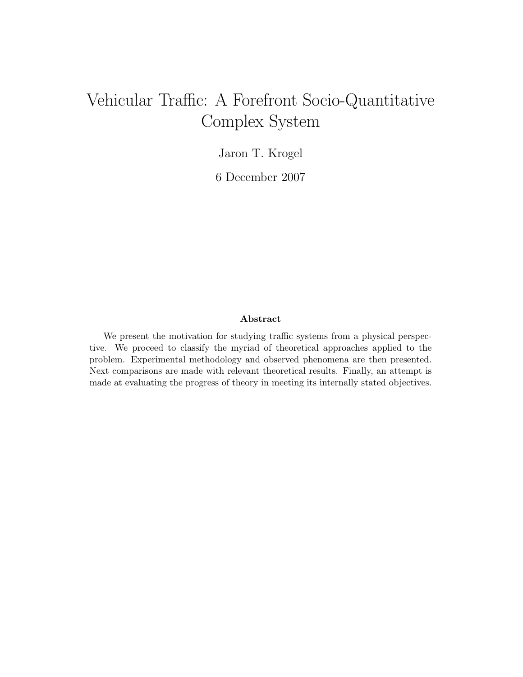# Vehicular Traffic: A Forefront Socio-Quantitative Complex System

Jaron T. Krogel

6 December 2007

#### Abstract

We present the motivation for studying traffic systems from a physical perspective. We proceed to classify the myriad of theoretical approaches applied to the problem. Experimental methodology and observed phenomena are then presented. Next comparisons are made with relevant theoretical results. Finally, an attempt is made at evaluating the progress of theory in meeting its internally stated objectives.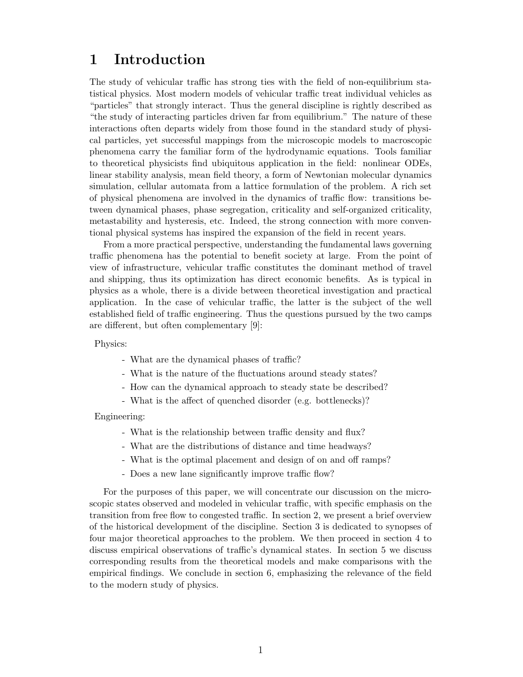# 1 Introduction

The study of vehicular traffic has strong ties with the field of non-equilibrium statistical physics. Most modern models of vehicular traffic treat individual vehicles as "particles" that strongly interact. Thus the general discipline is rightly described as "the study of interacting particles driven far from equilibrium." The nature of these interactions often departs widely from those found in the standard study of physical particles, yet successful mappings from the microscopic models to macroscopic phenomena carry the familiar form of the hydrodynamic equations. Tools familiar to theoretical physicists find ubiquitous application in the field: nonlinear ODEs, linear stability analysis, mean field theory, a form of Newtonian molecular dynamics simulation, cellular automata from a lattice formulation of the problem. A rich set of physical phenomena are involved in the dynamics of traffic flow: transitions between dynamical phases, phase segregation, criticality and self-organized criticality, metastability and hysteresis, etc. Indeed, the strong connection with more conventional physical systems has inspired the expansion of the field in recent years.

From a more practical perspective, understanding the fundamental laws governing traffic phenomena has the potential to benefit society at large. From the point of view of infrastructure, vehicular traffic constitutes the dominant method of travel and shipping, thus its optimization has direct economic benefits. As is typical in physics as a whole, there is a divide between theoretical investigation and practical application. In the case of vehicular traffic, the latter is the subject of the well established field of traffic engineering. Thus the questions pursued by the two camps are different, but often complementary [\[9\]](#page-12-0):

Physics:

- What are the dynamical phases of traffic?
- What is the nature of the fluctuations around steady states?
- How can the dynamical approach to steady state be described?
- What is the affect of quenched disorder (e.g. bottlenecks)?

Engineering:

- What is the relationship between traffic density and flux?
- What are the distributions of distance and time headways?
- What is the optimal placement and design of on and off ramps?
- Does a new lane significantly improve traffic flow?

For the purposes of this paper, we will concentrate our discussion on the microscopic states observed and modeled in vehicular traffic, with specific emphasis on the transition from free flow to congested traffic. In section [2,](#page-2-0) we present a brief overview of the historical development of the discipline. Section [3](#page-3-0) is dedicated to synopses of four major theoretical approaches to the problem. We then proceed in section [4](#page-7-0) to discuss empirical observations of traffic's dynamical states. In section [5](#page-9-0) we discuss corresponding results from the theoretical models and make comparisons with the empirical findings. We conclude in section [6,](#page-11-0) emphasizing the relevance of the field to the modern study of physics.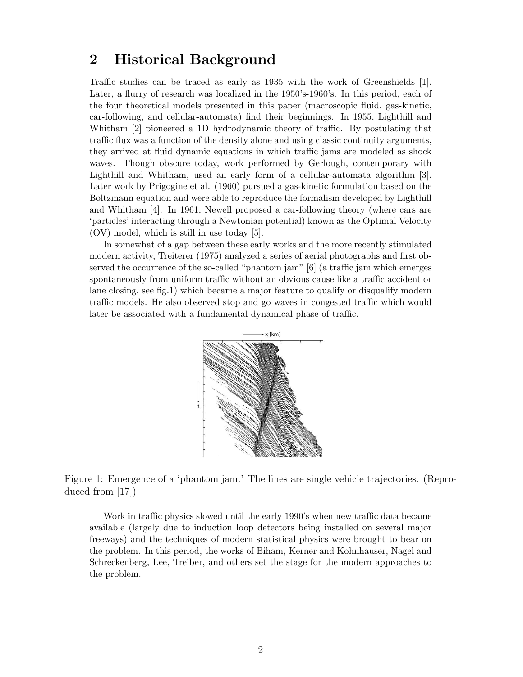### <span id="page-2-0"></span>2 Historical Background

Traffic studies can be traced as early as 1935 with the work of Greenshields [\[1\]](#page-12-1). Later, a flurry of research was localized in the 1950's-1960's. In this period, each of the four theoretical models presented in this paper (macroscopic fluid, gas-kinetic, car-following, and cellular-automata) find their beginnings. In 1955, Lighthill and Whitham [\[2\]](#page-12-2) pioneered a 1D hydrodynamic theory of traffic. By postulating that traffic flux was a function of the density alone and using classic continuity arguments, they arrived at fluid dynamic equations in which traffic jams are modeled as shock waves. Though obscure today, work performed by Gerlough, contemporary with Lighthill and Whitham, used an early form of a cellular-automata algorithm [\[3\]](#page-12-3). Later work by Prigogine et al. (1960) pursued a gas-kinetic formulation based on the Boltzmann equation and were able to reproduce the formalism developed by Lighthill and Whitham [\[4\]](#page-12-4). In 1961, Newell proposed a car-following theory (where cars are 'particles' interacting through a Newtonian potential) known as the Optimal Velocity (OV) model, which is still in use today [\[5\]](#page-12-5).

In somewhat of a gap between these early works and the more recently stimulated modern activity, Treiterer (1975) analyzed a series of aerial photographs and first observed the occurrence of the so-called "phantom jam" [\[6\]](#page-12-6) (a traffic jam which emerges spontaneously from uniform traffic without an obvious cause like a traffic accident or lane closing, see fig[.1\)](#page-2-1) which became a major feature to qualify or disqualify modern traffic models. He also observed stop and go waves in congested traffic which would later be associated with a fundamental dynamical phase of traffic.



<span id="page-2-1"></span>Figure 1: Emergence of a 'phantom jam.' The lines are single vehicle trajectories. (Reproduced from [\[17\]](#page-12-7))

Work in traffic physics slowed until the early 1990's when new traffic data became available (largely due to induction loop detectors being installed on several major freeways) and the techniques of modern statistical physics were brought to bear on the problem. In this period, the works of Biham, Kerner and Kohnhauser, Nagel and Schreckenberg, Lee, Treiber, and others set the stage for the modern approaches to the problem.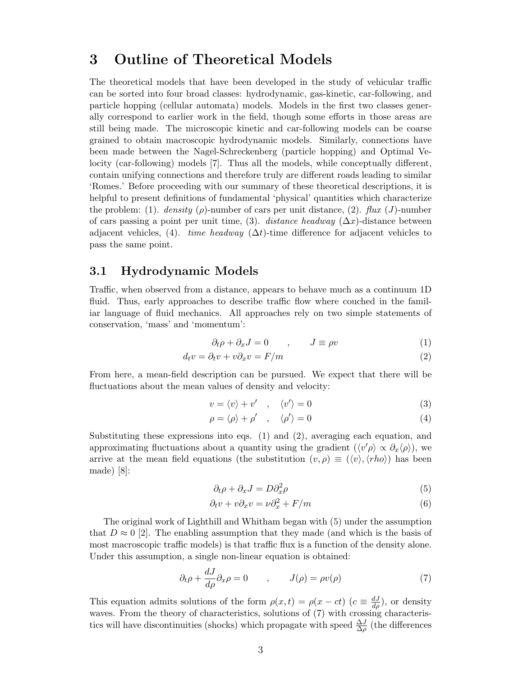### <span id="page-3-0"></span>3 Outline of Theoretical Models

The theoretical models that have been developed in the study of vehicular traffic can be sorted into four broad classes: hydrodynamic, gas-kinetic, car-following, and particle hopping (cellular automata) models. Models in the first two classes generally correspond to earlier work in the field, though some efforts in those areas are still being made. The microscopic kinetic and car-following models can be coarse grained to obtain macroscopic hydrodynamic models. Similarly, connections have been made between the Nagel-Schreckenberg (particle hopping) and Optimal Velocity (car-following) models [\[7\]](#page-12-8). Thus all the models, while conceptually different, contain unifying connections and therefore truly are different roads leading to similar 'Romes.' Before proceeding with our summary of these theoretical descriptions, it is helpful to present definitions of fundamental 'physical' quantities which characterize the problem: (1). density ( $\rho$ )-number of cars per unit distance, (2). flux (J)-number of cars passing a point per unit time, (3). distance headway ( $\Delta x$ )-distance between adjacent vehicles, (4). time headway  $(\Delta t)$ -time difference for adjacent vehicles to pass the same point.

### 3.1 Hydrodynamic Models

Traffic, when observed from a distance, appears to behave much as a continuum 1D fluid. Thus, early approaches to describe traffic flow where couched in the familiar language of fluid mechanics. All approaches rely on two simple statements of conservation, 'mass' and 'momentum':

<span id="page-3-1"></span>
$$
\partial_t \rho + \partial_x J = 0 \qquad , \qquad J \equiv \rho v \tag{1}
$$

$$
d_t v = \partial_t v + v \partial_x v = F/m \tag{2}
$$

From here, a mean-field description can be pursued. We expect that there will be fluctuations about the mean values of density and velocity:

<span id="page-3-2"></span>
$$
v = \langle v \rangle + v' \quad , \quad \langle v' \rangle = 0 \tag{3}
$$

$$
\rho = \langle \rho \rangle + \rho' \quad , \quad \langle \rho' \rangle = 0 \tag{4}
$$

Substituting these expressions into eqs. [\(1\)](#page-3-1) and [\(2\)](#page-3-2), averaging each equation, and approximating fluctuations about a quantity using the gradient  $(\langle v' \rho \rangle \propto \partial_x \langle \rho \rangle)$ , we arrive at the mean field equations (the substitution  $(v, \rho) \equiv (\langle v \rangle, \langle rho \rangle)$ ) has been made) [\[8\]](#page-12-9):

<span id="page-3-5"></span><span id="page-3-4"></span><span id="page-3-3"></span>
$$
\partial_t \rho + \partial_x J = D \partial_x^2 \rho \tag{5}
$$

$$
\partial_t v + v \partial_x v = \nu \partial_x^2 + F/m \tag{6}
$$

The original work of Lighthill and Whitham began with [\(5\)](#page-3-3) under the assumption that  $D \approx 0$  [\[2\]](#page-12-2). The enabling assumption that they made (and which is the basis of most macroscopic traffic models) is that traffic flux is a function of the density alone. Under this assumption, a single non-linear equation is obtained:

$$
\partial_t \rho + \frac{dJ}{d\rho} \partial_x \rho = 0 \qquad , \qquad J(\rho) = \rho v(\rho) \tag{7}
$$

This equation admits solutions of the form  $\rho(x,t) = \rho(x-ct)$   $(c \equiv \frac{dJ}{d\rho})$ , or density waves. From the theory of characteristics, solutions of [\(7\)](#page-3-4) with crossing characteristics will have discontinuities (shocks) which propagate with speed  $\frac{\Delta J}{\Delta \rho}$  (the differences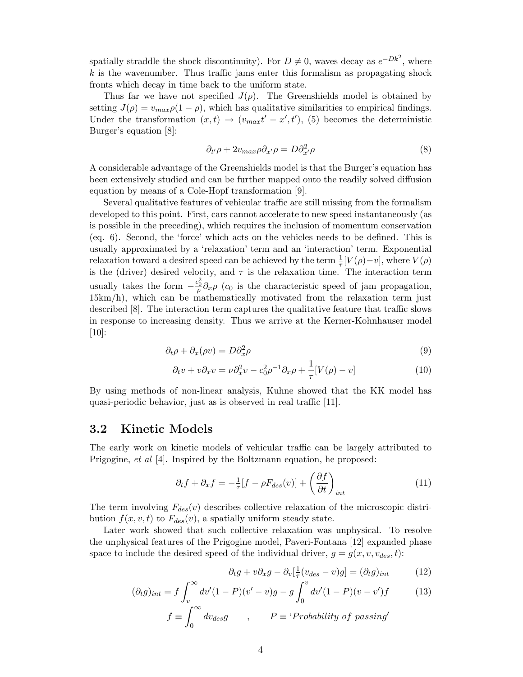spatially straddle the shock discontinuity). For  $D \neq 0$ , waves decay as  $e^{-Dk^2}$ , where  $k$  is the wavenumber. Thus traffic jams enter this formalism as propagating shock fronts which decay in time back to the uniform state.

Thus far we have not specified  $J(\rho)$ . The Greenshields model is obtained by setting  $J(\rho) = v_{max}\rho(1-\rho)$ , which has qualitative similarities to empirical findings. Under the transformation  $(x,t) \rightarrow (v_{max}t'-x',t')$ , [\(5\)](#page-3-3) becomes the deterministic Burger's equation [\[8\]](#page-12-9):

$$
\partial_{t'}\rho + 2v_{max}\rho \partial_{x'}\rho = D\partial_{x'}^2\rho \tag{8}
$$

A considerable advantage of the Greenshields model is that the Burger's equation has been extensively studied and can be further mapped onto the readily solved diffusion equation by means of a Cole-Hopf transformation [\[9\]](#page-12-0).

Several qualitative features of vehicular traffic are still missing from the formalism developed to this point. First, cars cannot accelerate to new speed instantaneously (as is possible in the preceding), which requires the inclusion of momentum conservation (eq. [6\)](#page-3-5). Second, the 'force' which acts on the vehicles needs to be defined. This is usually approximated by a 'relaxation' term and an 'interaction' term. Exponential relaxation toward a desired speed can be achieved by the term  $\frac{1}{\tau}[V(\rho)-v]$ , where  $V(\rho)$ is the (driver) desired velocity, and  $\tau$  is the relaxation time. The interaction term usually takes the form  $-\frac{c_0^2}{\rho}\partial_x\rho$  (c<sub>0</sub> is the characteristic speed of jam propagation, 15km/h), which can be mathematically motivated from the relaxation term just described [\[8\]](#page-12-9). The interaction term captures the qualitative feature that traffic slows in response to increasing density. Thus we arrive at the Kerner-Kohnhauser model [\[10\]](#page-12-10):

$$
\partial_t \rho + \partial_x (\rho v) = D \partial_x^2 \rho \tag{9}
$$

$$
\partial_t v + v \partial_x v = \nu \partial_x^2 v - c_0^2 \rho^{-1} \partial_x \rho + \frac{1}{\tau} [V(\rho) - v]
$$
\n(10)

By using methods of non-linear analysis, Kuhne showed that the KK model has quasi-periodic behavior, just as is observed in real traffic [\[11\]](#page-12-11).

#### 3.2 Kinetic Models

The early work on kinetic models of vehicular traffic can be largely attributed to Prigogine, et al [\[4\]](#page-12-4). Inspired by the Boltzmann equation, he proposed:

$$
\partial_t f + \partial_x f = -\frac{1}{\tau} [f - \rho F_{des}(v)] + \left(\frac{\partial f}{\partial t}\right)_{int}
$$
 (11)

The term involving  $F_{des}(v)$  describes collective relaxation of the microscopic distribution  $f(x, v, t)$  to  $F_{des}(v)$ , a spatially uniform steady state.

Later work showed that such collective relaxation was unphysical. To resolve the unphysical features of the Prigogine model, Paveri-Fontana [\[12\]](#page-12-12) expanded phase space to include the desired speed of the individual driver,  $g = g(x, v, v_{des}, t)$ :

$$
\partial_t g + v \partial_x g - \partial_v \left[\frac{1}{\tau} (v_{des} - v)g\right] = (\partial_t g)_{int} \tag{12}
$$

$$
(\partial_t g)_{int} = f \int_v^{\infty} dv'(1 - P)(v' - v)g - g \int_0^v dv'(1 - P)(v - v')f
$$
 (13)

$$
f \equiv \int_0^\infty dv_{des}g \qquad , \qquad P \equiv \text{`Probability of passing'}
$$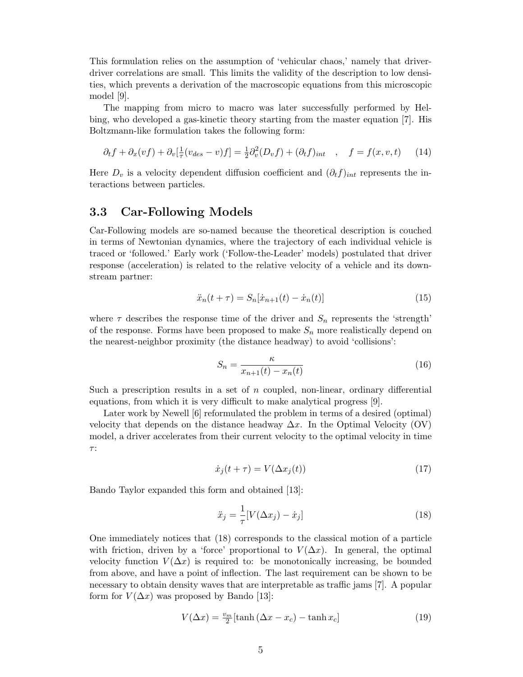This formulation relies on the assumption of 'vehicular chaos,' namely that driverdriver correlations are small. This limits the validity of the description to low densities, which prevents a derivation of the macroscopic equations from this microscopic model [\[9\]](#page-12-0).

The mapping from micro to macro was later successfully performed by Helbing, who developed a gas-kinetic theory starting from the master equation [\[7\]](#page-12-8). His Boltzmann-like formulation takes the following form:

$$
\partial_t f + \partial_x (vf) + \partial_v \left[\frac{1}{\tau}(v_{des} - v)f\right] = \frac{1}{2}\partial_v^2 (D_v f) + (\partial_t f)_{int} , \quad f = f(x, v, t) \tag{14}
$$

Here  $D_v$  is a velocity dependent diffusion coefficient and  $(\partial_t f)_{int}$  represents the interactions between particles.

#### 3.3 Car-Following Models

Car-Following models are so-named because the theoretical description is couched in terms of Newtonian dynamics, where the trajectory of each individual vehicle is traced or 'followed.' Early work ('Follow-the-Leader' models) postulated that driver response (acceleration) is related to the relative velocity of a vehicle and its downstream partner:

$$
\ddot{x}_n(t+\tau) = S_n[\dot{x}_{n+1}(t) - \dot{x}_n(t)] \tag{15}
$$

where  $\tau$  describes the response time of the driver and  $S_n$  represents the 'strength' of the response. Forms have been proposed to make  $S_n$  more realistically depend on the nearest-neighbor proximity (the distance headway) to avoid 'collisions':

$$
S_n = \frac{\kappa}{x_{n+1}(t) - x_n(t)}\tag{16}
$$

Such a prescription results in a set of  $n$  coupled, non-linear, ordinary differential equations, from which it is very difficult to make analytical progress [\[9\]](#page-12-0).

Later work by Newell [\[6\]](#page-12-6) reformulated the problem in terms of a desired (optimal) velocity that depends on the distance headway  $\Delta x$ . In the Optimal Velocity (OV) model, a driver accelerates from their current velocity to the optimal velocity in time τ :

$$
\dot{x}_j(t+\tau) = V(\Delta x_j(t))\tag{17}
$$

Bando Taylor expanded this form and obtained [\[13\]](#page-12-13):

<span id="page-5-0"></span>
$$
\ddot{x}_j = \frac{1}{\tau} [V(\Delta x_j) - \dot{x}_j] \tag{18}
$$

One immediately notices that [\(18\)](#page-5-0) corresponds to the classical motion of a particle with friction, driven by a 'force' proportional to  $V(\Delta x)$ . In general, the optimal velocity function  $V(\Delta x)$  is required to: be monotonically increasing, be bounded from above, and have a point of inflection. The last requirement can be shown to be necessary to obtain density waves that are interpretable as traffic jams [\[7\]](#page-12-8). A popular form for  $V(\Delta x)$  was proposed by Bando [\[13\]](#page-12-13):

$$
V(\Delta x) = \frac{v_m}{2} [\tanh (\Delta x - x_c) - \tanh x_c]
$$
 (19)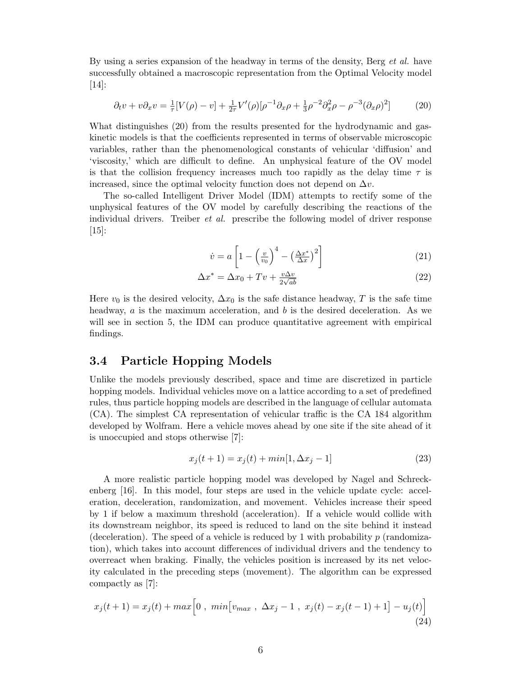By using a series expansion of the headway in terms of the density, Berg *et al.* have successfully obtained a macroscopic representation from the Optimal Velocity model [\[14\]](#page-12-14):

$$
\partial_t v + v \partial_x v = \frac{1}{\tau} [V(\rho) - v] + \frac{1}{2\tau} V'(\rho) [\rho^{-1} \partial_x \rho + \frac{1}{3} \rho^{-2} \partial_x^2 \rho - \rho^{-3} (\partial_x \rho)^2]
$$
(20)

What distinguishes [\(20\)](#page-6-0) from the results presented for the hydrodynamic and gaskinetic models is that the coefficients represented in terms of observable microscopic variables, rather than the phenomenological constants of vehicular 'diffusion' and 'viscosity,' which are difficult to define. An unphysical feature of the OV model is that the collision frequency increases much too rapidly as the delay time  $\tau$  is increased, since the optimal velocity function does not depend on  $\Delta v$ .

The so-called Intelligent Driver Model (IDM) attempts to rectify some of the unphysical features of the OV model by carefully describing the reactions of the individual drivers. Treiber et al. prescribe the following model of driver response [\[15\]](#page-12-15):

<span id="page-6-0"></span>
$$
\dot{v} = a \left[ 1 - \left(\frac{v}{v_0}\right)^4 - \left(\frac{\Delta x^*}{\Delta x}\right)^2 \right] \tag{21}
$$

$$
\Delta x^* = \Delta x_0 + Tv + \frac{v\Delta v}{2\sqrt{ab}}\tag{22}
$$

Here  $v_0$  is the desired velocity,  $\Delta x_0$  is the safe distance headway, T is the safe time headway,  $a$  is the maximum acceleration, and  $b$  is the desired deceleration. As we will see in section [5,](#page-9-0) the IDM can produce quantitative agreement with empirical findings.

### 3.4 Particle Hopping Models

Unlike the models previously described, space and time are discretized in particle hopping models. Individual vehicles move on a lattice according to a set of predefined rules, thus particle hopping models are described in the language of cellular automata (CA). The simplest CA representation of vehicular traffic is the CA 184 algorithm developed by Wolfram. Here a vehicle moves ahead by one site if the site ahead of it is unoccupied and stops otherwise [\[7\]](#page-12-8):

$$
x_j(t+1) = x_j(t) + min[1, \Delta x_j - 1] \tag{23}
$$

A more realistic particle hopping model was developed by Nagel and Schreckenberg [\[16\]](#page-12-16). In this model, four steps are used in the vehicle update cycle: acceleration, deceleration, randomization, and movement. Vehicles increase their speed by 1 if below a maximum threshold (acceleration). If a vehicle would collide with its downstream neighbor, its speed is reduced to land on the site behind it instead (deceleration). The speed of a vehicle is reduced by 1 with probability  $p$  (randomization), which takes into account differences of individual drivers and the tendency to overreact when braking. Finally, the vehicles position is increased by its net velocity calculated in the preceding steps (movement). The algorithm can be expressed compactly as [\[7\]](#page-12-8):

$$
x_j(t+1) = x_j(t) + max\left[0, \ \min[v_{max}, \ \Delta x_j - 1, \ x_j(t) - x_j(t-1) + 1\right] - u_j(t)\right]
$$
\n(24)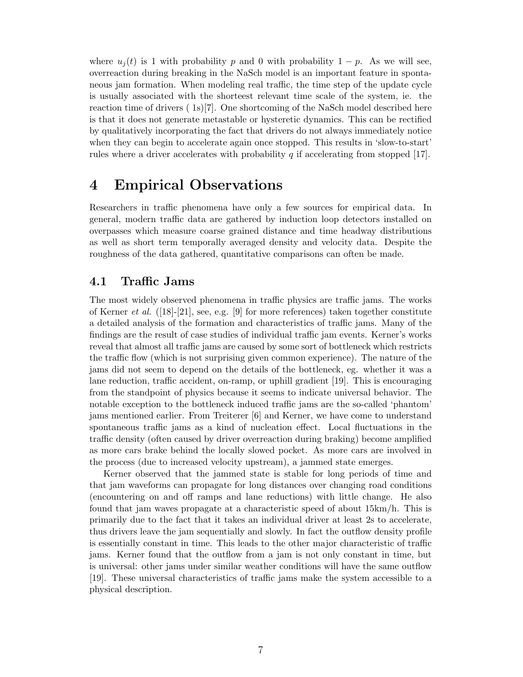where  $u_i(t)$  is 1 with probability p and 0 with probability  $1 - p$ . As we will see, overreaction during breaking in the NaSch model is an important feature in spontaneous jam formation. When modeling real traffic, the time step of the update cycle is usually associated with the shorteest relevant time scale of the system, ie. the reaction time of drivers ( 1s)[\[7\]](#page-12-8). One shortcoming of the NaSch model described here is that it does not generate metastable or hysteretic dynamics. This can be rectified by qualitatively incorporating the fact that drivers do not always immediately notice when they can begin to accelerate again once stopped. This results in 'slow-to-start' rules where a driver accelerates with probability  $q$  if accelerating from stopped [\[17\]](#page-12-7).

### <span id="page-7-0"></span>4 Empirical Observations

Researchers in traffic phenomena have only a few sources for empirical data. In general, modern traffic data are gathered by induction loop detectors installed on overpasses which measure coarse grained distance and time headway distributions as well as short term temporally averaged density and velocity data. Despite the roughness of the data gathered, quantitative comparisons can often be made.

### 4.1 Traffic Jams

The most widely observed phenomena in traffic physics are traffic jams. The works of Kerner *et al.* ([\[18\]](#page-12-17)-[\[21\]](#page-12-18), see, e.g. [\[9\]](#page-12-0) for more references) taken together constitute a detailed analysis of the formation and characteristics of traffic jams. Many of the findings are the result of case studies of individual traffic jam events. Kerner's works reveal that almost all traffic jams are caused by some sort of bottleneck which restricts the traffic flow (which is not surprising given common experience). The nature of the jams did not seem to depend on the details of the bottleneck, eg. whether it was a lane reduction, traffic accident, on-ramp, or uphill gradient [\[19\]](#page-12-19). This is encouraging from the standpoint of physics because it seems to indicate universal behavior. The notable exception to the bottleneck induced traffic jams are the so-called 'phantom' jams mentioned earlier. From Treiterer [\[6\]](#page-12-6) and Kerner, we have come to understand spontaneous traffic jams as a kind of nucleation effect. Local fluctuations in the traffic density (often caused by driver overreaction during braking) become amplified as more cars brake behind the locally slowed pocket. As more cars are involved in the process (due to increased velocity upstream), a jammed state emerges.

Kerner observed that the jammed state is stable for long periods of time and that jam waveforms can propagate for long distances over changing road conditions (encountering on and off ramps and lane reductions) with little change. He also found that jam waves propagate at a characteristic speed of about 15km/h. This is primarily due to the fact that it takes an individual driver at least 2s to accelerate, thus drivers leave the jam sequentially and slowly. In fact the outflow density profile is essentially constant in time. This leads to the other major characteristic of traffic jams. Kerner found that the outflow from a jam is not only constant in time, but is universal: other jams under similar weather conditions will have the same outflow [\[19\]](#page-12-19). These universal characteristics of traffic jams make the system accessible to a physical description.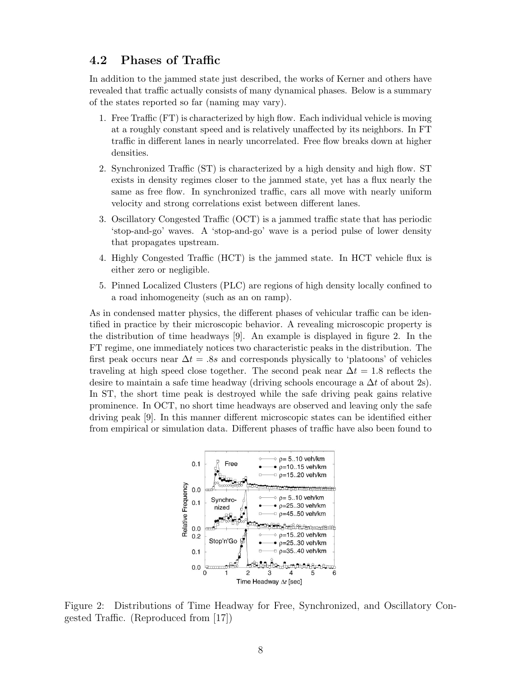### 4.2 Phases of Traffic

In addition to the jammed state just described, the works of Kerner and others have revealed that traffic actually consists of many dynamical phases. Below is a summary of the states reported so far (naming may vary).

- 1. Free Traffic (FT) is characterized by high flow. Each individual vehicle is moving at a roughly constant speed and is relatively unaffected by its neighbors. In FT traffic in different lanes in nearly uncorrelated. Free flow breaks down at higher densities.
- 2. Synchronized Traffic (ST) is characterized by a high density and high flow. ST exists in density regimes closer to the jammed state, yet has a flux nearly the same as free flow. In synchronized traffic, cars all move with nearly uniform velocity and strong correlations exist between different lanes.
- 3. Oscillatory Congested Traffic (OCT) is a jammed traffic state that has periodic 'stop-and-go' waves. A 'stop-and-go' wave is a period pulse of lower density that propagates upstream.
- 4. Highly Congested Traffic (HCT) is the jammed state. In HCT vehicle flux is either zero or negligible.
- 5. Pinned Localized Clusters (PLC) are regions of high density locally confined to a road inhomogeneity (such as an on ramp).

As in condensed matter physics, the different phases of vehicular traffic can be identified in practice by their microscopic behavior. A revealing microscopic property is the distribution of time headways [\[9\]](#page-12-0). An example is displayed in figure [2.](#page-8-0) In the FT regime, one immediately notices two characteristic peaks in the distribution. The first peak occurs near  $\Delta t = 0.8s$  and corresponds physically to 'platoons' of vehicles traveling at high speed close together. The second peak near  $\Delta t = 1.8$  reflects the desire to maintain a safe time headway (driving schools encourage a  $\Delta t$  of about 2s). In ST, the short time peak is destroyed while the safe driving peak gains relative prominence. In OCT, no short time headways are observed and leaving only the safe driving peak [\[9\]](#page-12-0). In this manner different microscopic states can be identified either from empirical or simulation data. Different phases of traffic have also been found to



<span id="page-8-0"></span>Figure 2: Distributions of Time Headway for Free, Synchronized, and Oscillatory Congested Traffic. (Reproduced from [\[17\]](#page-12-7))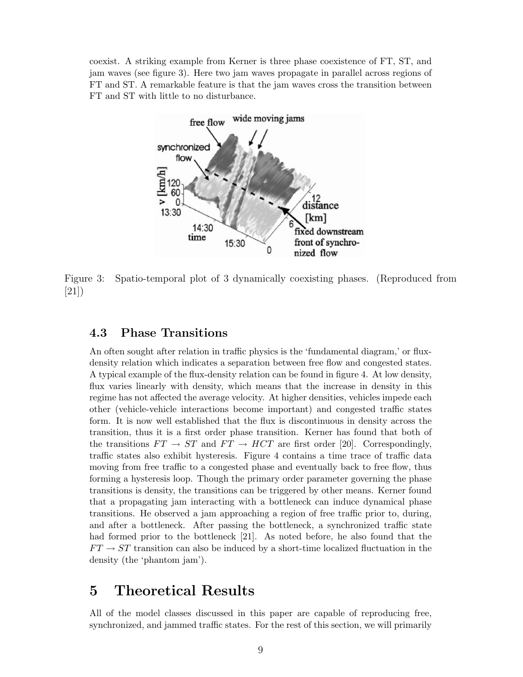coexist. A striking example from Kerner is three phase coexistence of FT, ST, and jam waves (see figure [3\)](#page-9-1). Here two jam waves propagate in parallel across regions of FT and ST. A remarkable feature is that the jam waves cross the transition between FT and ST with little to no disturbance.



<span id="page-9-1"></span>Figure 3: Spatio-temporal plot of 3 dynamically coexisting phases. (Reproduced from [\[21\]](#page-12-18))

### 4.3 Phase Transitions

An often sought after relation in traffic physics is the 'fundamental diagram,' or fluxdensity relation which indicates a separation between free flow and congested states. A typical example of the flux-density relation can be found in figure [4.](#page-10-0) At low density, flux varies linearly with density, which means that the increase in density in this regime has not affected the average velocity. At higher densities, vehicles impede each other (vehicle-vehicle interactions become important) and congested traffic states form. It is now well established that the flux is discontinuous in density across the transition, thus it is a first order phase transition. Kerner has found that both of the transitions  $FT \rightarrow ST$  and  $FT \rightarrow HCT$  are first order [\[20\]](#page-12-20). Correspondingly, traffic states also exhibit hysteresis. Figure [4](#page-10-0) contains a time trace of traffic data moving from free traffic to a congested phase and eventually back to free flow, thus forming a hysteresis loop. Though the primary order parameter governing the phase transitions is density, the transitions can be triggered by other means. Kerner found that a propagating jam interacting with a bottleneck can induce dynamical phase transitions. He observed a jam approaching a region of free traffic prior to, during, and after a bottleneck. After passing the bottleneck, a synchronized traffic state had formed prior to the bottleneck [\[21\]](#page-12-18). As noted before, he also found that the  $FT \rightarrow ST$  transition can also be induced by a short-time localized fluctuation in the density (the 'phantom jam').

### <span id="page-9-0"></span>5 Theoretical Results

All of the model classes discussed in this paper are capable of reproducing free, synchronized, and jammed traffic states. For the rest of this section, we will primarily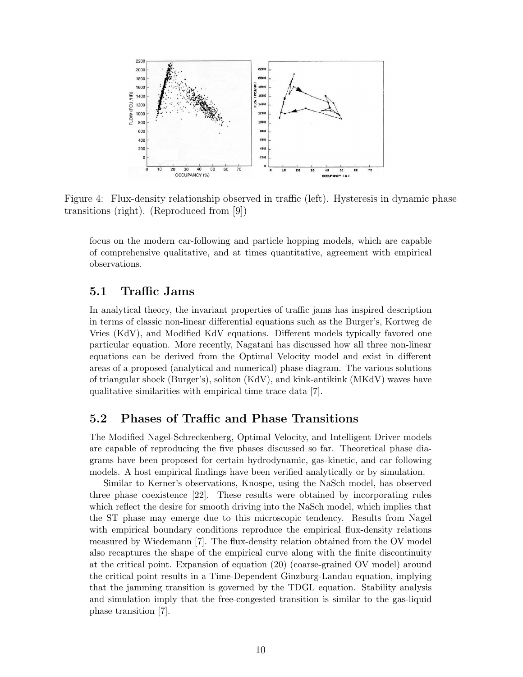

<span id="page-10-0"></span>Figure 4: Flux-density relationship observed in traffic (left). Hysteresis in dynamic phase transitions (right). (Reproduced from [\[9\]](#page-12-0))

focus on the modern car-following and particle hopping models, which are capable of comprehensive qualitative, and at times quantitative, agreement with empirical observations.

### 5.1 Traffic Jams

In analytical theory, the invariant properties of traffic jams has inspired description in terms of classic non-linear differential equations such as the Burger's, Kortweg de Vries (KdV), and Modified KdV equations. Different models typically favored one particular equation. More recently, Nagatani has discussed how all three non-linear equations can be derived from the Optimal Velocity model and exist in different areas of a proposed (analytical and numerical) phase diagram. The various solutions of triangular shock (Burger's), soliton (KdV), and kink-antikink (MKdV) waves have qualitative similarities with empirical time trace data [\[7\]](#page-12-8).

#### 5.2 Phases of Traffic and Phase Transitions

The Modified Nagel-Schreckenberg, Optimal Velocity, and Intelligent Driver models are capable of reproducing the five phases discussed so far. Theoretical phase diagrams have been proposed for certain hydrodynamic, gas-kinetic, and car following models. A host empirical findings have been verified analytically or by simulation.

Similar to Kerner's observations, Knospe, using the NaSch model, has observed three phase coexistence [\[22\]](#page-12-21). These results were obtained by incorporating rules which reflect the desire for smooth driving into the NaSch model, which implies that the ST phase may emerge due to this microscopic tendency. Results from Nagel with empirical boundary conditions reproduce the empirical flux-density relations measured by Wiedemann [\[7\]](#page-12-8). The flux-density relation obtained from the OV model also recaptures the shape of the empirical curve along with the finite discontinuity at the critical point. Expansion of equation [\(20\)](#page-6-0) (coarse-grained OV model) around the critical point results in a Time-Dependent Ginzburg-Landau equation, implying that the jamming transition is governed by the TDGL equation. Stability analysis and simulation imply that the free-congested transition is similar to the gas-liquid phase transition [\[7\]](#page-12-8).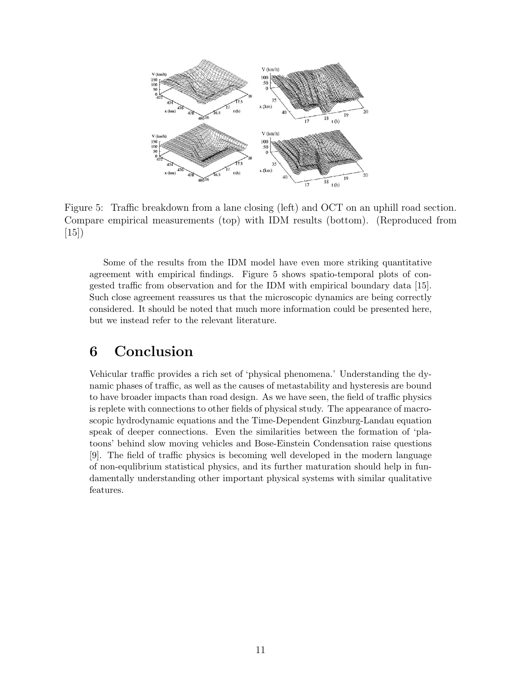

<span id="page-11-1"></span>Figure 5: Traffic breakdown from a lane closing (left) and OCT on an uphill road section. Compare empirical measurements (top) with IDM results (bottom). (Reproduced from [\[15\]](#page-12-15))

Some of the results from the IDM model have even more striking quantitative agreement with empirical findings. Figure [5](#page-11-1) shows spatio-temporal plots of congested traffic from observation and for the IDM with empirical boundary data [\[15\]](#page-12-15). Such close agreement reassures us that the microscopic dynamics are being correctly considered. It should be noted that much more information could be presented here, but we instead refer to the relevant literature.

### <span id="page-11-0"></span>6 Conclusion

Vehicular traffic provides a rich set of 'physical phenomena.' Understanding the dynamic phases of traffic, as well as the causes of metastability and hysteresis are bound to have broader impacts than road design. As we have seen, the field of traffic physics is replete with connections to other fields of physical study. The appearance of macroscopic hydrodynamic equations and the Time-Dependent Ginzburg-Landau equation speak of deeper connections. Even the similarities between the formation of 'platoons' behind slow moving vehicles and Bose-Einstein Condensation raise questions [\[9\]](#page-12-0). The field of traffic physics is becoming well developed in the modern language of non-equlibrium statistical physics, and its further maturation should help in fundamentally understanding other important physical systems with similar qualitative features.